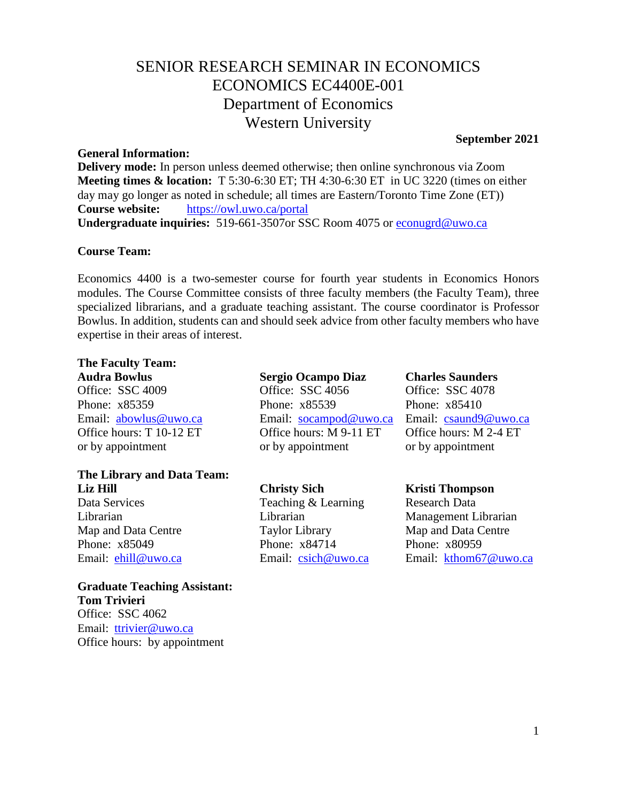## SENIOR RESEARCH SEMINAR IN ECONOMICS ECONOMICS EC4400E-001 Department of Economics Western University

#### **General Information:**

**Delivery mode:** In person unless deemed otherwise; then online synchronous via Zoom **Meeting times & location:** T 5:30-6:30 ET; TH 4:30-6:30 ET in UC 3220 (times on either day may go longer as noted in schedule; all times are Eastern/Toronto Time Zone (ET)) **Course website:** <https://owl.uwo.ca/portal> **Undergraduate inquiries:** 519-661-3507or SSC Room 4075 or [econugrd@uwo.ca](mailto:econugrd@uwo.ca)

#### **Course Team:**

Economics 4400 is a two-semester course for fourth year students in Economics Honors modules. The Course Committee consists of three faculty members (the Faculty Team), three specialized librarians, and a graduate teaching assistant. The course coordinator is Professor Bowlus. In addition, students can and should seek advice from other faculty members who have expertise in their areas of interest.

### **The Faculty Team:**

**Audra Bowlus Sergio Ocampo Diaz Charles Saunders** Office: SSC 4009 Office: SSC 4056 Office: SSC 4078

# **The Library and Data Team: Liz Hill Christy Sich Kristi Thompson**

**Graduate Teaching Assistant: Tom Trivieri** Office: SSC 4062 Email: [ttrivier@uwo.ca](mailto:ttrivier@uwo.ca) Office hours: by appointment

Phone: x85359 Phone: x85359 Phone: x85410 Email: [abowlus@uwo.ca](mailto:abowlus@uwo.ca) Email: [socampod@uwo.ca](mailto:@uwo.ca) Email: [csaund9@uwo.ca](mailto:csaund9@uwo.ca) Office hours: T 10-12 ET Office hours: M 9-11 ET Office hours: M 2-4 ET or by appointment or by appointment or by appointment

Teaching & Learning Research Data Map and Data Centre Taylor Library Map and Data Centre Phone: x85049 Phone: x84714 Phone: x80959

Librarian Librarian Management Librarian Email: [ehill@uwo.ca](mailto:ehill@uwo.ca) Email: [csich@uwo.ca](mailto:csich@uwo.ca) Email: [kthom67@uwo.ca](mailto:kthom67@uwo.ca)

# **September 2021**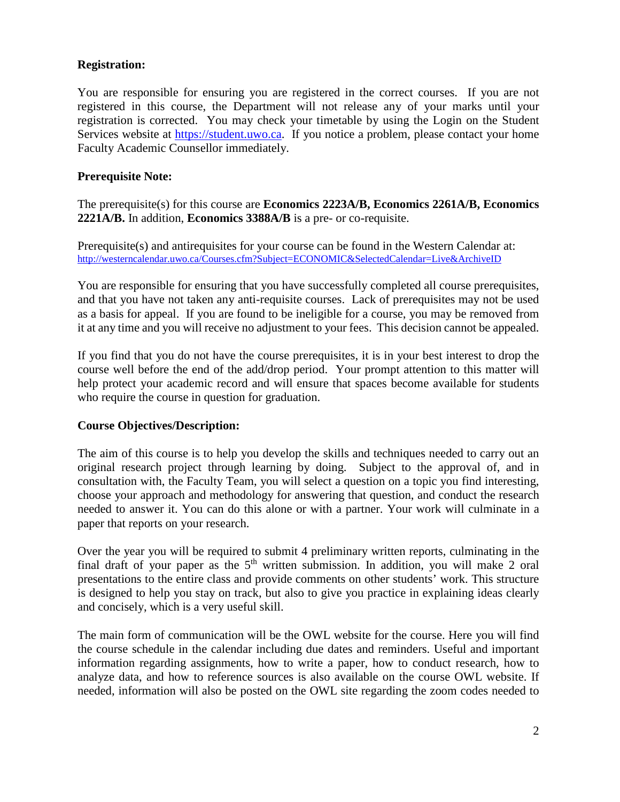#### **Registration:**

You are responsible for ensuring you are registered in the correct courses. If you are not registered in this course, the Department will not release any of your marks until your registration is corrected. You may check your timetable by using the Login on the Student Services website at [https://student.uwo.ca.](https://student.uwo.ca/) If you notice a problem, please contact your home Faculty Academic Counsellor immediately.

#### **Prerequisite Note:**

The prerequisite(s) for this course are **Economics 2223A/B, Economics 2261A/B, Economics 2221A/B.** In addition, **Economics 3388A/B** is a pre- or co-requisite.

Prerequisite(s) and antirequisites for your course can be found in the Western Calendar at: <http://westerncalendar.uwo.ca/Courses.cfm?Subject=ECONOMIC&SelectedCalendar=Live&ArchiveID>

You are responsible for ensuring that you have successfully completed all course prerequisites, and that you have not taken any anti-requisite courses. Lack of prerequisites may not be used as a basis for appeal. If you are found to be ineligible for a course, you may be removed from it at any time and you will receive no adjustment to your fees. This decision cannot be appealed.

If you find that you do not have the course prerequisites, it is in your best interest to drop the course well before the end of the add/drop period. Your prompt attention to this matter will help protect your academic record and will ensure that spaces become available for students who require the course in question for graduation.

#### **Course Objectives/Description:**

The aim of this course is to help you develop the skills and techniques needed to carry out an original research project through learning by doing. Subject to the approval of, and in consultation with, the Faculty Team, you will select a question on a topic you find interesting, choose your approach and methodology for answering that question, and conduct the research needed to answer it. You can do this alone or with a partner. Your work will culminate in a paper that reports on your research.

Over the year you will be required to submit 4 preliminary written reports, culminating in the final draft of your paper as the  $5<sup>th</sup>$  written submission. In addition, you will make 2 oral presentations to the entire class and provide comments on other students' work. This structure is designed to help you stay on track, but also to give you practice in explaining ideas clearly and concisely, which is a very useful skill.

The main form of communication will be the OWL website for the course. Here you will find the course schedule in the calendar including due dates and reminders. Useful and important information regarding assignments, how to write a paper, how to conduct research, how to analyze data, and how to reference sources is also available on the course OWL website. If needed, information will also be posted on the OWL site regarding the zoom codes needed to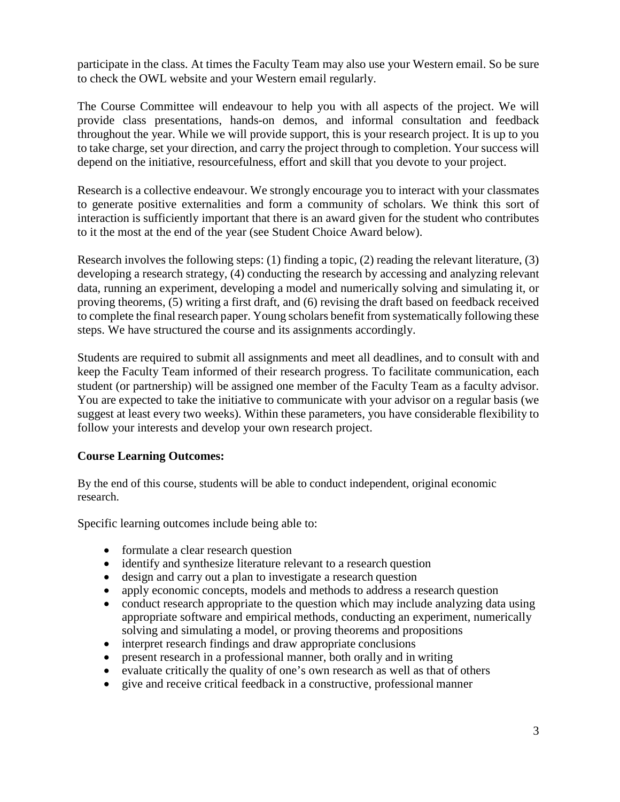participate in the class. At times the Faculty Team may also use your Western email. So be sure to check the OWL website and your Western email regularly.

The Course Committee will endeavour to help you with all aspects of the project. We will provide class presentations, hands-on demos, and informal consultation and feedback throughout the year. While we will provide support, this is your research project. It is up to you to take charge, set your direction, and carry the project through to completion. Your success will depend on the initiative, resourcefulness, effort and skill that you devote to your project.

Research is a collective endeavour. We strongly encourage you to interact with your classmates to generate positive externalities and form a community of scholars. We think this sort of interaction is sufficiently important that there is an award given for the student who contributes to it the most at the end of the year (see Student Choice Award below).

Research involves the following steps: (1) finding a topic, (2) reading the relevant literature, (3) developing a research strategy, (4) conducting the research by accessing and analyzing relevant data, running an experiment, developing a model and numerically solving and simulating it, or proving theorems, (5) writing a first draft, and (6) revising the draft based on feedback received to complete the final research paper. Young scholars benefit from systematically following these steps. We have structured the course and its assignments accordingly.

Students are required to submit all assignments and meet all deadlines, and to consult with and keep the Faculty Team informed of their research progress. To facilitate communication, each student (or partnership) will be assigned one member of the Faculty Team as a faculty advisor. You are expected to take the initiative to communicate with your advisor on a regular basis (we suggest at least every two weeks). Within these parameters, you have considerable flexibility to follow your interests and develop your own research project.

#### **Course Learning Outcomes:**

By the end of this course, students will be able to conduct independent, original economic research.

Specific learning outcomes include being able to:

- formulate a clear research question
- identify and synthesize literature relevant to a research question
- design and carry out a plan to investigate a research question
- apply economic concepts, models and methods to address a research question
- conduct research appropriate to the question which may include analyzing data using appropriate software and empirical methods, conducting an experiment, numerically solving and simulating a model, or proving theorems and propositions
- interpret research findings and draw appropriate conclusions
- present research in a professional manner, both orally and in writing
- evaluate critically the quality of one's own research as well as that of others
- give and receive critical feedback in a constructive, professional manner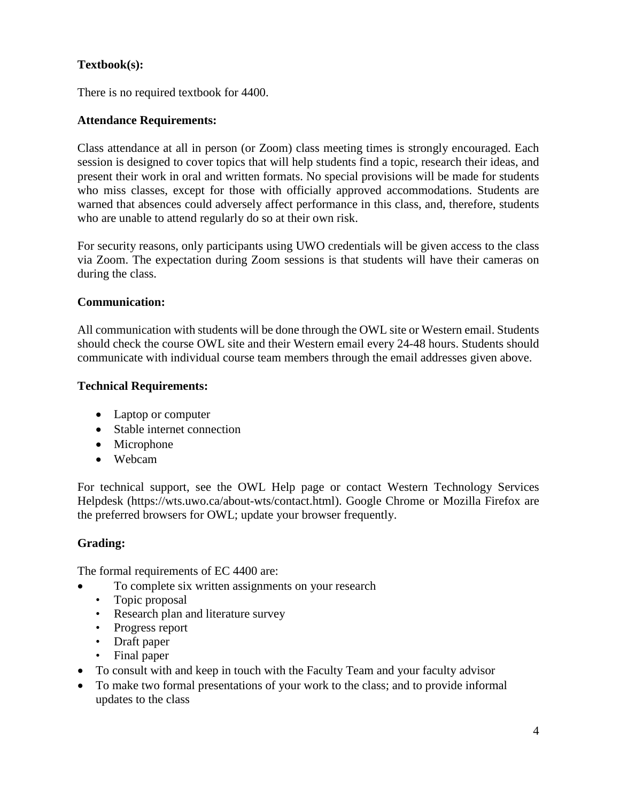### **Textbook(s):**

There is no required textbook for 4400.

#### **Attendance Requirements:**

Class attendance at all in person (or Zoom) class meeting times is strongly encouraged. Each session is designed to cover topics that will help students find a topic, research their ideas, and present their work in oral and written formats. No special provisions will be made for students who miss classes, except for those with officially approved accommodations. Students are warned that absences could adversely affect performance in this class, and, therefore, students who are unable to attend regularly do so at their own risk.

For security reasons, only participants using UWO credentials will be given access to the class via Zoom. The expectation during Zoom sessions is that students will have their cameras on during the class.

#### **Communication:**

All communication with students will be done through the OWL site or Western email. Students should check the course OWL site and their Western email every 24-48 hours. Students should communicate with individual course team members through the email addresses given above.

#### **Technical Requirements:**

- Laptop or computer
- Stable internet connection
- Microphone
- Webcam

For technical support, see the OWL Help page or contact Western Technology Services Helpdesk [\(https://wts.uwo.ca/about-wts/contact.html\)](https://wts.uwo.ca/about-wts/contact.html). Google Chrome or Mozilla Firefox are the preferred browsers for OWL; update your browser frequently.

#### **Grading:**

The formal requirements of EC 4400 are:

- To complete six written assignments on your research
	- Topic proposal
	- Research plan and literature survey
	- Progress report
	- Draft paper
	- Final paper
- To consult with and keep in touch with the Faculty Team and your faculty advisor
- To make two formal presentations of your work to the class; and to provide informal updates to the class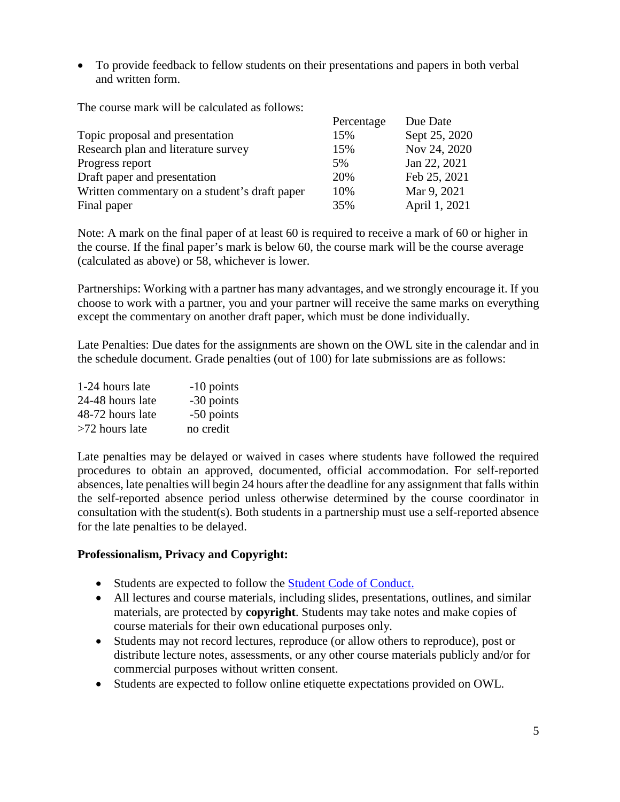• To provide feedback to fellow students on their presentations and papers in both verbal and written form.

The course mark will be calculated as follows:

|                                               | Percentage | Due Date      |
|-----------------------------------------------|------------|---------------|
| Topic proposal and presentation               | 15%        | Sept 25, 2020 |
| Research plan and literature survey           | 15%        | Nov 24, 2020  |
| Progress report                               | 5%         | Jan 22, 2021  |
| Draft paper and presentation                  | 20%        | Feb 25, 2021  |
| Written commentary on a student's draft paper | 10%        | Mar 9, 2021   |
| Final paper                                   | 35%        | April 1, 2021 |

Note: A mark on the final paper of at least 60 is required to receive a mark of 60 or higher in the course. If the final paper's mark is below 60, the course mark will be the course average (calculated as above) or 58, whichever is lower.

Partnerships: Working with a partner has many advantages, and we strongly encourage it. If you choose to work with a partner, you and your partner will receive the same marks on everything except the commentary on another draft paper, which must be done individually.

Late Penalties: Due dates for the assignments are shown on the OWL site in the calendar and in the schedule document. Grade penalties (out of 100) for late submissions are as follows:

| 1-24 hours late  | $-10$ points |
|------------------|--------------|
| 24-48 hours late | -30 points   |
| 48-72 hours late | -50 points   |
| >72 hours late   | no credit    |

Late penalties may be delayed or waived in cases where students have followed the required procedures to obtain an approved, documented, official accommodation. For self-reported absences, late penalties will begin 24 hours after the deadline for any assignment that falls within the self-reported absence period unless otherwise determined by the course coordinator in consultation with the student(s). Both students in a partnership must use a self-reported absence for the late penalties to be delayed.

#### **Professionalism, Privacy and Copyright:**

- Students are expected to follow the [Student Code of Conduct.](https://www.uwo.ca/univsec/pdf/board/code.pdf)
- All lectures and course materials, including slides, presentations, outlines, and similar materials, are protected by **copyright**. Students may take notes and make copies of course materials for their own educational purposes only.
- Students may not record lectures, reproduce (or allow others to reproduce), post or distribute lecture notes, assessments, or any other course materials publicly and/or for commercial purposes without written consent.
- Students are expected to follow online etiquette expectations provided on OWL.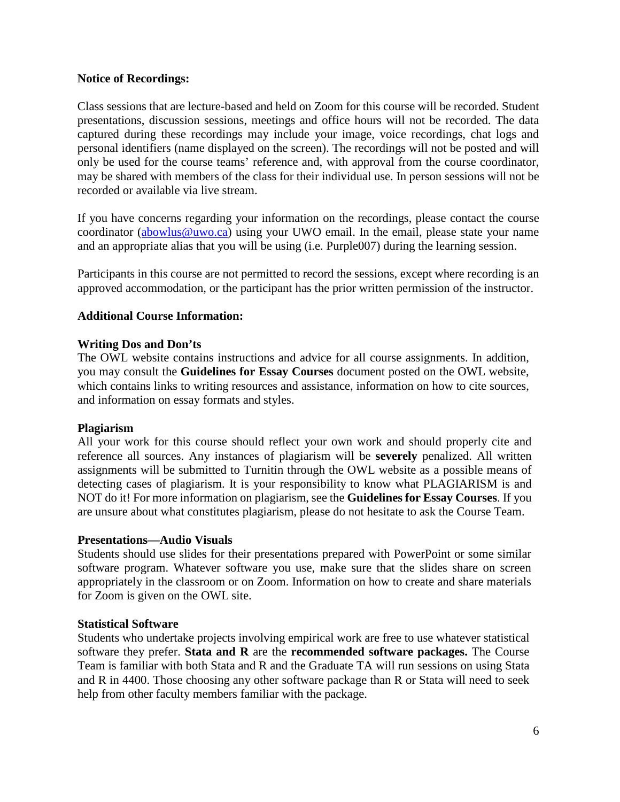#### **Notice of Recordings:**

Class sessions that are lecture-based and held on Zoom for this course will be recorded. Student presentations, discussion sessions, meetings and office hours will not be recorded. The data captured during these recordings may include your image, voice recordings, chat logs and personal identifiers (name displayed on the screen). The recordings will not be posted and will only be used for the course teams' reference and, with approval from the course coordinator, may be shared with members of the class for their individual use. In person sessions will not be recorded or available via live stream.

If you have concerns regarding your information on the recordings, please contact the course coordinator [\(abowlus@uwo.ca\)](mailto:abowlus@uwo.ca) using your UWO email. In the email, please state your name and an appropriate alias that you will be using (i.e. Purple007) during the learning session.

Participants in this course are not permitted to record the sessions, except where recording is an approved accommodation, or the participant has the prior written permission of the instructor.

#### **Additional Course Information:**

#### **Writing Dos and Don'ts**

The OWL website contains instructions and advice for all course assignments. In addition, you may consult the **Guidelines for Essay Courses** document posted on the OWL website, which contains links to writing resources and assistance, information on how to cite sources, and information on essay formats and styles.

#### **Plagiarism**

All your work for this course should reflect your own work and should properly cite and reference all sources. Any instances of plagiarism will be **severely** penalized. All written assignments will be submitted to Turnitin through the OWL website as a possible means of detecting cases of plagiarism. It is your responsibility to know what PLAGIARISM is and NOT do it! For more information on plagiarism, see the **Guidelines for Essay Courses**. If you are unsure about what constitutes plagiarism, please do not hesitate to ask the Course Team.

#### **Presentations—Audio Visuals**

Students should use slides for their presentations prepared with PowerPoint or some similar software program. Whatever software you use, make sure that the slides share on screen appropriately in the classroom or on Zoom. Information on how to create and share materials for Zoom is given on the OWL site.

#### **Statistical Software**

Students who undertake projects involving empirical work are free to use whatever statistical software they prefer. **Stata and R** are the **recommended software packages.** The Course Team is familiar with both Stata and R and the Graduate TA will run sessions on using Stata and R in 4400. Those choosing any other software package than R or Stata will need to seek help from other faculty members familiar with the package.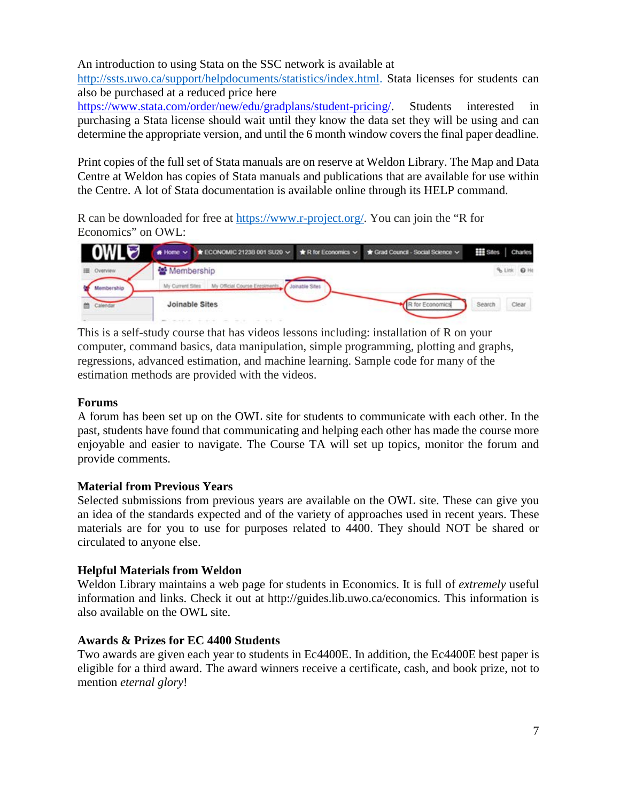An introduction to using Stata on the SSC network is available at

[http://ssts.uwo.ca/support/helpdocuments/statistics/index.html.](http://ssts.uwo.ca/support/helpdocuments/statistics/index.html) Stata licenses for students can also be purchased at a reduced price here

[https://www.stata.com/order/new/edu/gradplans/student-pricing/.](https://www.stata.com/order/new/edu/gradplans/student-pricing/) Students interested in purchasing a Stata license should wait until they know the data set they will be using and can determine the appropriate version, and until the 6 month window covers the final paper deadline.

Print copies of the full set of Stata manuals are on reserve at Weldon Library. The Map and Data Centre at Weldon has copies of Stata manuals and publications that are available for use within the Centre. A lot of Stata documentation is available online through its HELP command.

R can be downloaded for free at [https://www.r-project.org/.](https://www.r-project.org/) You can join the "R for Economics" on OWL:



This is a self-study course that has videos lessons including: installation of R on your computer, command basics, data manipulation, simple programming, plotting and graphs, regressions, advanced estimation, and machine learning. Sample code for many of the estimation methods are provided with the videos.

#### **Forums**

A forum has been set up on the OWL site for students to communicate with each other. In the past, students have found that communicating and helping each other has made the course more enjoyable and easier to navigate. The Course TA will set up topics, monitor the forum and provide comments.

#### **Material from Previous Years**

Selected submissions from previous years are available on the OWL site. These can give you an idea of the standards expected and of the variety of approaches used in recent years. These materials are for you to use for purposes related to 4400. They should NOT be shared or circulated to anyone else.

#### **Helpful Materials from Weldon**

Weldon Library maintains a web page for students in Economics. It is full of *extremely* useful information and links. Check it out at [http://guides.lib.uwo.ca/economics.](http://guides.lib.uwo.ca/economics) This information is also available on the OWL site.

#### **Awards & Prizes for EC 4400 Students**

Two awards are given each year to students in Ec4400E. In addition, the Ec4400E best paper is eligible for a third award. The award winners receive a certificate, cash, and book prize, not to mention *eternal glory*!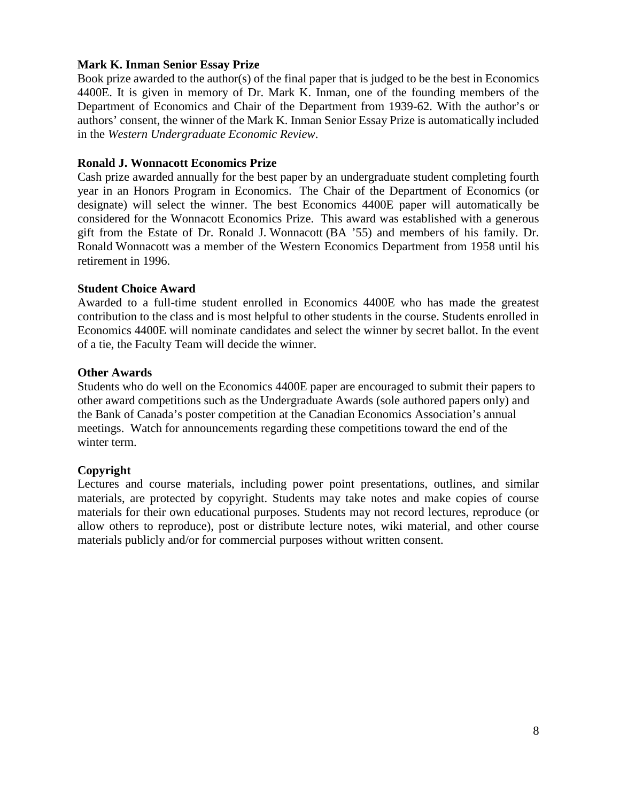#### **Mark K. Inman Senior Essay Prize**

Book prize awarded to the author(s) of the final paper that is judged to be the best in Economics 4400E. It is given in memory of Dr. Mark K. Inman, one of the founding members of the Department of Economics and Chair of the Department from 1939-62. With the author's or authors' consent, the winner of the Mark K. Inman Senior Essay Prize is automatically included in the *Western Undergraduate Economic Review*.

#### **Ronald J. Wonnacott Economics Prize**

Cash prize awarded annually for the best paper by an undergraduate student completing fourth year in an Honors Program in Economics. The Chair of the Department of Economics (or designate) will select the winner. The best Economics 4400E paper will automatically be considered for the Wonnacott Economics Prize. This award was established with a generous gift from the Estate of Dr. Ronald J. Wonnacott (BA '55) and members of his family. Dr. Ronald Wonnacott was a member of the Western Economics Department from 1958 until his retirement in 1996.

#### **Student Choice Award**

Awarded to a full-time student enrolled in Economics 4400E who has made the greatest contribution to the class and is most helpful to other students in the course. Students enrolled in Economics 4400E will nominate candidates and select the winner by secret ballot. In the event of a tie, the Faculty Team will decide the winner.

#### **Other Awards**

Students who do well on the Economics 4400E paper are encouraged to submit their papers to other award competitions such as the Undergraduate Awards (sole authored papers only) and the Bank of Canada's poster competition at the Canadian Economics Association's annual meetings. Watch for announcements regarding these competitions toward the end of the winter term.

#### **Copyright**

Lectures and course materials, including power point presentations, outlines, and similar materials, are protected by copyright. Students may take notes and make copies of course materials for their own educational purposes. Students may not record lectures, reproduce (or allow others to reproduce), post or distribute lecture notes, wiki material, and other course materials publicly and/or for commercial purposes without written consent.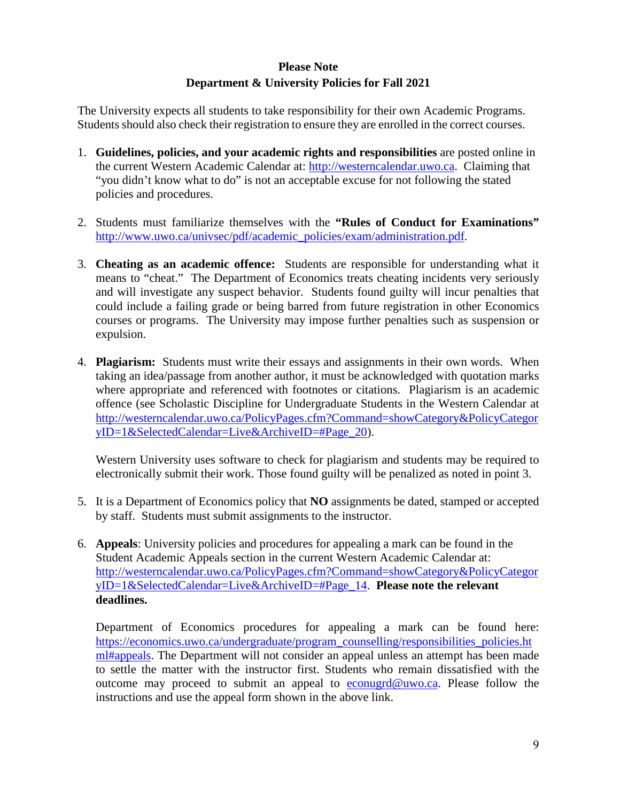### **Please Note Department & University Policies for Fall 2021**

The University expects all students to take responsibility for their own Academic Programs. Students should also check their registration to ensure they are enrolled in the correct courses.

- 1. **Guidelines, policies, and your academic rights and responsibilities** are posted online in the current Western Academic Calendar at: [http://westerncalendar.uwo.ca.](http://westerncalendar.uwo.ca/) Claiming that "you didn't know what to do" is not an acceptable excuse for not following the stated policies and procedures.
- 2. Students must familiarize themselves with the **"Rules of Conduct for Examinations"** [http://www.uwo.ca/univsec/pdf/academic\\_policies/exam/administration.pdf.](http://www.uwo.ca/univsec/pdf/academic_policies/exam/administration.pdf)
- 3. **Cheating as an academic offence:** Students are responsible for understanding what it means to "cheat." The Department of Economics treats cheating incidents very seriously and will investigate any suspect behavior. Students found guilty will incur penalties that could include a failing grade or being barred from future registration in other Economics courses or programs. The University may impose further penalties such as suspension or expulsion.
- 4. **Plagiarism:** Students must write their essays and assignments in their own words. When taking an idea/passage from another author, it must be acknowledged with quotation marks where appropriate and referenced with footnotes or citations. Plagiarism is an academic offence (see Scholastic Discipline for Undergraduate Students in the Western Calendar at [http://westerncalendar.uwo.ca/PolicyPages.cfm?Command=showCategory&PolicyCategor](http://westerncalendar.uwo.ca/PolicyPages.cfm?Command=showCategory&PolicyCategoryID=1&SelectedCalendar=Live&ArchiveID=#Page_20) [yID=1&SelectedCalendar=Live&ArchiveID=#Page\\_20\)](http://westerncalendar.uwo.ca/PolicyPages.cfm?Command=showCategory&PolicyCategoryID=1&SelectedCalendar=Live&ArchiveID=#Page_20).

Western University uses software to check for plagiarism and students may be required to electronically submit their work. Those found guilty will be penalized as noted in point 3.

- 5. It is a Department of Economics policy that **NO** assignments be dated, stamped or accepted by staff. Students must submit assignments to the instructor.
- 6. **Appeals**: University policies and procedures for appealing a mark can be found in the Student Academic Appeals section in the current Western Academic Calendar at: [http://westerncalendar.uwo.ca/PolicyPages.cfm?Command=showCategory&PolicyCategor](http://westerncalendar.uwo.ca/PolicyPages.cfm?Command=showCategory&PolicyCategoryID=1&SelectedCalendar=Live&ArchiveID=#Page_14) [yID=1&SelectedCalendar=Live&ArchiveID=#Page\\_14.](http://westerncalendar.uwo.ca/PolicyPages.cfm?Command=showCategory&PolicyCategoryID=1&SelectedCalendar=Live&ArchiveID=#Page_14) **Please note the relevant deadlines.**

Department of Economics procedures for appealing a mark can be found here: [https://economics.uwo.ca/undergraduate/program\\_counselling/responsibilities\\_policies.ht](https://economics.uwo.ca/undergraduate/program_counselling/responsibilities_policies.html#appeals) [ml#appeals.](https://economics.uwo.ca/undergraduate/program_counselling/responsibilities_policies.html#appeals) The Department will not consider an appeal unless an attempt has been made to settle the matter with the instructor first. Students who remain dissatisfied with the outcome may proceed to submit an appeal to [econugrd@uwo.ca.](mailto:econugrd@uwo.ca) Please follow the instructions and use the appeal form shown in the above link.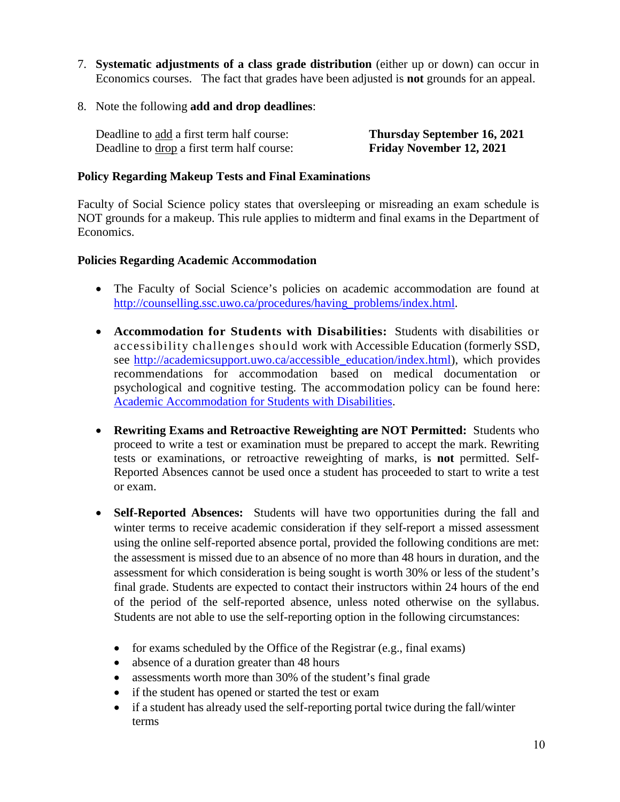- 7. **Systematic adjustments of a class grade distribution** (either up or down) can occur in Economics courses. The fact that grades have been adjusted is **not** grounds for an appeal.
- 8. Note the following **add and drop deadlines**:

Deadline to add a first term half course: **Thursday September 16, 2021**  Deadline to drop a first term half course: **Friday November 12, 2021** 

#### **Policy Regarding Makeup Tests and Final Examinations**

Faculty of Social Science policy states that oversleeping or misreading an exam schedule is NOT grounds for a makeup. This rule applies to midterm and final exams in the Department of Economics.

#### **Policies Regarding Academic Accommodation**

- The Faculty of Social Science's policies on academic accommodation are found at [http://counselling.ssc.uwo.ca/procedures/having\\_problems/index.html.](http://counselling.ssc.uwo.ca/procedures/having_problems/index.html)
- **Accommodation for Students with Disabilities:** Students with disabilities or accessibility challenges should work with Accessible Education (formerly SSD, see [http://academicsupport.uwo.ca/accessible\\_education/index.html\)](http://academicsupport.uwo.ca/accessible_education/index.html), which provides recommendations for accommodation based on medical documentation or psychological and cognitive testing. The accommodation policy can be found here: [Academic Accommodation for Students with Disabilities.](https://www.uwo.ca/univsec/pdf/academic_policies/appeals/Academic%20Accommodation_disabilities.pdf)
- **Rewriting Exams and Retroactive Reweighting are NOT Permitted:** Students who proceed to write a test or examination must be prepared to accept the mark. Rewriting tests or examinations, or retroactive reweighting of marks, is **not** permitted. Self-Reported Absences cannot be used once a student has proceeded to start to write a test or exam.
- **Self-Reported Absences:** Students will have two opportunities during the fall and winter terms to receive academic consideration if they self-report a missed assessment using the online self-reported absence portal, provided the following conditions are met: the assessment is missed due to an absence of no more than 48 hours in duration, and the assessment for which consideration is being sought is worth 30% or less of the student's final grade. Students are expected to contact their instructors within 24 hours of the end of the period of the self-reported absence, unless noted otherwise on the syllabus. Students are not able to use the self-reporting option in the following circumstances:
	- for exams scheduled by the Office of the Registrar (e.g., final exams)
	- absence of a duration greater than 48 hours
	- assessments worth more than 30% of the student's final grade
	- if the student has opened or started the test or exam
	- if a student has already used the self-reporting portal twice during the fall/winter terms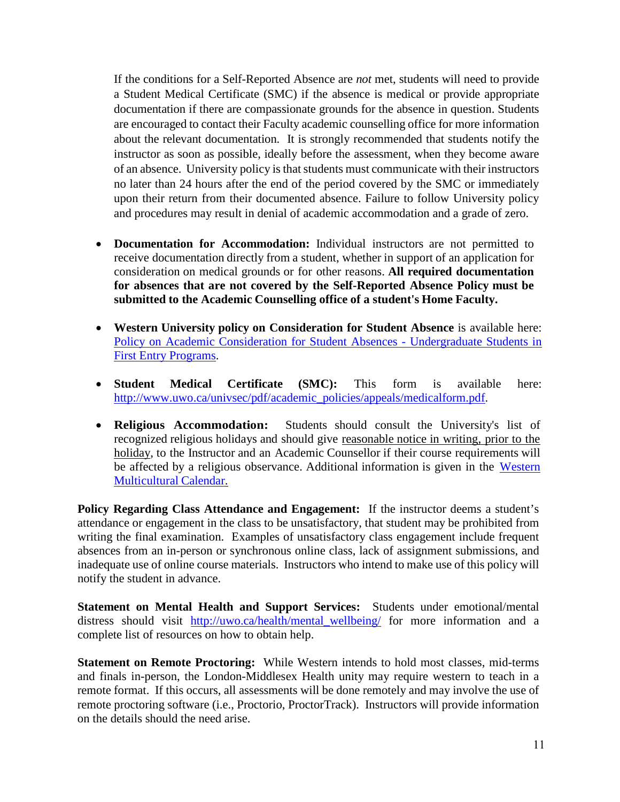If the conditions for a Self-Reported Absence are *not* met, students will need to provide a Student Medical Certificate (SMC) if the absence is medical or provide appropriate documentation if there are compassionate grounds for the absence in question. Students are encouraged to contact their Faculty academic counselling office for more information about the relevant documentation. It is strongly recommended that students notify the instructor as soon as possible, ideally before the assessment, when they become aware of an absence. University policy is that students must communicate with their instructors no later than 24 hours after the end of the period covered by the SMC or immediately upon their return from their documented absence. Failure to follow University policy and procedures may result in denial of academic accommodation and a grade of zero.

- **Documentation for Accommodation:** Individual instructors are not permitted to receive documentation directly from a student, whether in support of an application for consideration on medical grounds or for other reasons. **All required documentation for absences that are not covered by the Self-Reported Absence Policy must be submitted to the Academic Counselling office of a student's Home Faculty.**
- **Western University policy on Consideration for Student Absence** is available here: [Policy on Academic Consideration for Student Absences - Undergraduate Students in](https://www.uwo.ca/univsec/pdf/academic_policies/appeals/Academic_Consideration_for_absences.pdf) [First Entry Programs.](https://www.uwo.ca/univsec/pdf/academic_policies/appeals/Academic_Consideration_for_absences.pdf)
- **Student Medical Certificate (SMC):** This form is available here: [http://www.uwo.ca/univsec/pdf/academic\\_policies/appeals/medicalform.pdf.](http://www.uwo.ca/univsec/pdf/academic_policies/appeals/medicalform.pdf)
- **Religious Accommodation:** Students should consult the University's list of recognized religious holidays and should give reasonable notice in writing, prior to the holiday, to the Instructor and an Academic Counsellor if their course requirements will be affected by a religious observance. Additional information is given in the [Western](https://multiculturalcalendar.com/ecal/index.php?s=c-univwo) [Multicultural Calendar.](https://multiculturalcalendar.com/ecal/index.php?s=c-univwo)

**Policy Regarding Class Attendance and Engagement:** If the instructor deems a student's attendance or engagement in the class to be unsatisfactory, that student may be prohibited from writing the final examination. Examples of unsatisfactory class engagement include frequent absences from an in-person or synchronous online class, lack of assignment submissions, and inadequate use of online course materials. Instructors who intend to make use of this policy will notify the student in advance.

**Statement on Mental Health and Support Services:** Students under emotional/mental distress should visit [http://uwo.ca/health/mental\\_wellbeing/](http://uwo.ca/health/mental_wellbeing/) for more information and a complete list of resources on how to obtain help.

**Statement on Remote Proctoring:** While Western intends to hold most classes, mid-terms and finals in-person, the London-Middlesex Health unity may require western to teach in a remote format. If this occurs, all assessments will be done remotely and may involve the use of remote proctoring software (i.e., Proctorio, ProctorTrack). Instructors will provide information on the details should the need arise.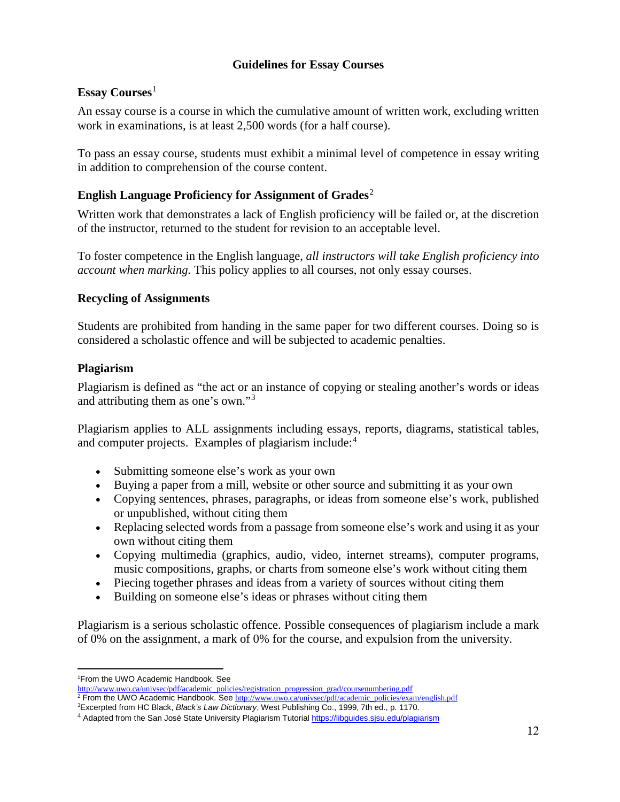### **Guidelines for Essay Courses**

#### **Essay Courses**[1](#page-11-0)

An essay course is a course in which the cumulative amount of written work, excluding written work in examinations, is at least 2,500 words (for a half course).

To pass an essay course, students must exhibit a minimal level of competence in essay writing in addition to comprehension of the course content.

### **English Language Proficiency for Assignment of Grades**[2](#page-11-1)

Written work that demonstrates a lack of English proficiency will be failed or, at the discretion of the instructor, returned to the student for revision to an acceptable level.

To foster competence in the English language, *all instructors will take English proficiency into account when marking.* This policy applies to all courses, not only essay courses.

#### **Recycling of Assignments**

Students are prohibited from handing in the same paper for two different courses. Doing so is considered a scholastic offence and will be subjected to academic penalties.

#### **Plagiarism**

Plagiarism is defined as "the act or an instance of copying or stealing another's words or ideas and attributing them as one's own."[3](#page-11-2)

Plagiarism applies to ALL assignments including essays, reports, diagrams, statistical tables, and computer projects. Examples of plagiarism include:<sup>[4](#page-11-3)</sup>

- Submitting someone else's work as your own
- Buying a paper from a mill, website or other source and submitting it as your own
- Copying sentences, phrases, paragraphs, or ideas from someone else's work, published or unpublished, without citing them
- Replacing selected words from a passage from someone else's work and using it as your own without citing them
- Copying multimedia (graphics, audio, video, internet streams), computer programs, music compositions, graphs, or charts from someone else's work without citing them
- Piecing together phrases and ideas from a variety of sources without citing them
- Building on someone else's ideas or phrases without citing them

Plagiarism is a serious scholastic offence. Possible consequences of plagiarism include a mark of 0% on the assignment, a mark of 0% for the course, and expulsion from the university.

<sup>1</sup> From the UWO Academic Handbook. See

<span id="page-11-1"></span><span id="page-11-0"></span>[http://www.uwo.ca/univsec/pdf/academic\\_policies/registration\\_progression\\_grad/coursenumbering.pdf](http://www.uwo.ca/univsec/pdf/academic_policies/registration_progression_grad/coursenumbering.pdf) <sup>2</sup> From the UWO Academic Handbook. See [http://www.uwo.ca/univsec/pdf/academic\\_policies/exam/english.pdf](http://www.uwo.ca/univsec/pdf/academic_policies/exam/english.pdf)

<sup>3</sup> Excerpted from HC Black, *Black's Law Dictionary*, West Publishing Co., 1999, 7th ed., p. 1170.

<span id="page-11-3"></span><span id="page-11-2"></span><sup>&</sup>lt;sup>4</sup> Adapted from the San José State University Plagiarism Tutorial<https://libguides.sjsu.edu/plagiarism>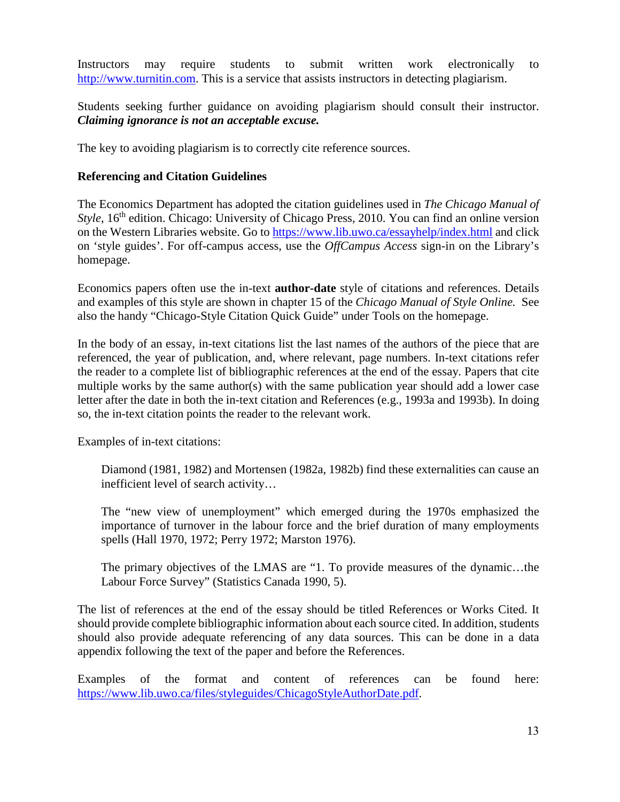Instructors may require students to submit written work electronically to [http://www.turnitin.com.](http://www.turnitin.com/) This is a service that assists instructors in detecting plagiarism.

Students seeking further guidance on avoiding plagiarism should consult their instructor. *Claiming ignorance is not an acceptable excuse.*

The key to avoiding plagiarism is to correctly cite reference sources.

#### **Referencing and Citation Guidelines**

The Economics Department has adopted the citation guidelines used in *The Chicago Manual of Style*, 16<sup>th</sup> edition. Chicago: University of Chicago Press, 2010. You can find an online version on the Western Libraries website. Go to<https://www.lib.uwo.ca/essayhelp/index.html> and click on 'style guides'. For off-campus access, use the *OffCampus Access* sign-in on the Library's homepage.

Economics papers often use the in-text **author-date** style of citations and references. Details and examples of this style are shown in chapter 15 of the *Chicago Manual of Style Online.* See also the handy "Chicago-Style Citation Quick Guide" under Tools on the homepage.

In the body of an essay, in-text citations list the last names of the authors of the piece that are referenced, the year of publication, and, where relevant, page numbers. In-text citations refer the reader to a complete list of bibliographic references at the end of the essay. Papers that cite multiple works by the same author(s) with the same publication year should add a lower case letter after the date in both the in-text citation and References (e.g., 1993a and 1993b). In doing so, the in-text citation points the reader to the relevant work.

Examples of in-text citations:

Diamond (1981, 1982) and Mortensen (1982a, 1982b) find these externalities can cause an inefficient level of search activity…

The "new view of unemployment" which emerged during the 1970s emphasized the importance of turnover in the labour force and the brief duration of many employments spells (Hall 1970, 1972; Perry 1972; Marston 1976).

The primary objectives of the LMAS are "1. To provide measures of the dynamic…the Labour Force Survey" (Statistics Canada 1990, 5).

The list of references at the end of the essay should be titled References or Works Cited. It should provide complete bibliographic information about each source cited. In addition, students should also provide adequate referencing of any data sources. This can be done in a data appendix following the text of the paper and before the References.

Examples of the format and content of references can be found here: [https://www.lib.uwo.ca/files/styleguides/ChicagoStyleAuthorDate.pdf.](https://www.lib.uwo.ca/files/styleguides/ChicagoStyleAuthorDate.pdf)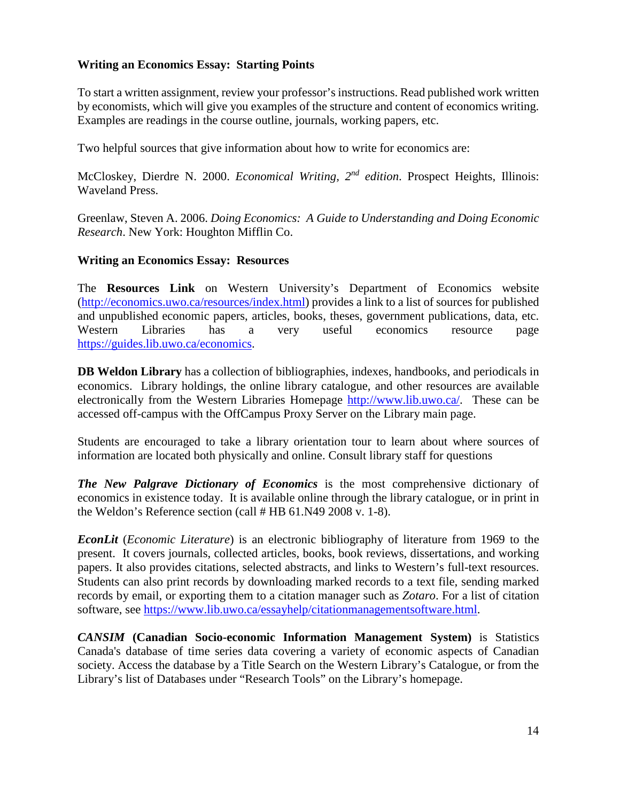#### **Writing an Economics Essay: Starting Points**

To start a written assignment, review your professor's instructions. Read published work written by economists, which will give you examples of the structure and content of economics writing. Examples are readings in the course outline, journals, working papers, etc.

Two helpful sources that give information about how to write for economics are:

McCloskey, Dierdre N. 2000. *Economical Writing, 2nd edition*. Prospect Heights, Illinois: Waveland Press.

Greenlaw, Steven A. 2006. *Doing Economics: A Guide to Understanding and Doing Economic Research*. New York: Houghton Mifflin Co.

#### **Writing an Economics Essay: Resources**

The **Resources Link** on Western University's Department of Economics website [\(http://economics.uwo.ca/resources/index.html\)](http://economics.uwo.ca/resources/index.html) provides a link to a list of sources for published and unpublished economic papers, articles, books, theses, government publications, data, etc. Western Libraries has a very useful economics resource page [https://guides.lib.uwo.ca/economics.](https://guides.lib.uwo.ca/economics)

**DB Weldon Library** has a collection of bibliographies, indexes, handbooks, and periodicals in economics. Library holdings, the online library catalogue, and other resources are available electronically from the Western Libraries Homepage [http://www.lib.uwo.ca/.](http://www.lib.uwo.ca/) These can be accessed off-campus with the OffCampus Proxy Server on the Library main page.

Students are encouraged to take a library orientation tour to learn about where sources of information are located both physically and online. Consult library staff for questions

*The New Palgrave Dictionary of Economics* is the most comprehensive dictionary of economics in existence today. It is available online through the library catalogue, or in print in the Weldon's Reference section (call # HB 61.N49 2008 v. 1-8).

*EconLit* (*Economic Literature*) is an electronic bibliography of literature from 1969 to the present. It covers journals, collected articles, books, book reviews, dissertations, and working papers. It also provides citations, selected abstracts, and links to Western's full-text resources. Students can also print records by downloading marked records to a text file, sending marked records by email, or exporting them to a citation manager such as *Zotaro*. For a list of citation software, see [https://www.lib.uwo.ca/essayhelp/citationmanagementsoftware.html.](https://www.lib.uwo.ca/essayhelp/citationmanagementsoftware.html)

*CANSIM* **(Canadian Socio-economic Information Management System)** is Statistics Canada's database of time series data covering a variety of economic aspects of Canadian society. Access the database by a Title Search on the Western Library's Catalogue, or from the Library's list of Databases under "Research Tools" on the Library's homepage.